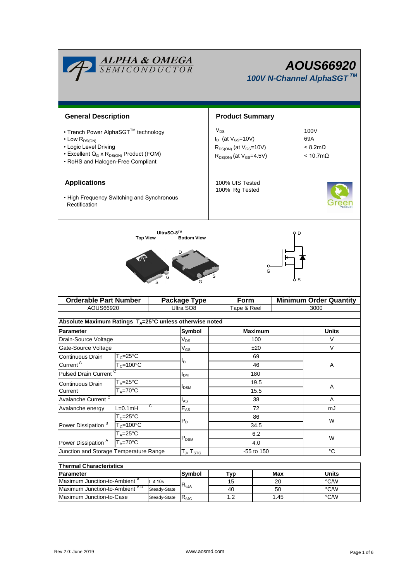|                                                                                                                                                                                                 |                        | <b>ALPHA &amp; OMEGA</b><br>SEMICONDUCTOR                          | <b>AOUS66920</b><br>100V N-Channel AlphaSGT™                                                                                                                         |                               |  |  |  |
|-------------------------------------------------------------------------------------------------------------------------------------------------------------------------------------------------|------------------------|--------------------------------------------------------------------|----------------------------------------------------------------------------------------------------------------------------------------------------------------------|-------------------------------|--|--|--|
| <b>General Description</b>                                                                                                                                                                      |                        |                                                                    | <b>Product Summary</b>                                                                                                                                               |                               |  |  |  |
| • Trench Power AlphaSGT™ technology<br>$\cdot$ Low $R_{DS(ON)}$<br>• Logic Level Driving<br>• Excellent Q <sub>G</sub> x R <sub>DS(ON)</sub> Product (FOM)<br>• RoHS and Halogen-Free Compliant |                        |                                                                    | $V_{DS}$<br>100V<br>$I_D$ (at $V_{GS}$ =10V)<br>69A<br>$< 8.2 m\Omega$<br>$R_{DS(ON)}$ (at $V_{GS}$ =10V)<br>$R_{DS(ON)}$ (at $V_{GS}$ =4.5V)<br>$< 10.7$ m $\Omega$ |                               |  |  |  |
| <b>Applications</b><br>• High Frequency Switching and Synchronous<br>Rectification                                                                                                              |                        |                                                                    | 100% UIS Tested<br>100% Rg Tested                                                                                                                                    |                               |  |  |  |
| <b>Orderable Part Number</b>                                                                                                                                                                    |                        | <b>Package Type</b>                                                | G<br>Form                                                                                                                                                            | <b>Minimum Order Quantity</b> |  |  |  |
| AOUS66920                                                                                                                                                                                       |                        | Ultra SO8                                                          | Tape & Reel                                                                                                                                                          | 3000                          |  |  |  |
|                                                                                                                                                                                                 |                        | Absolute Maximum Ratings $T_A = 25^\circ C$ unless otherwise noted |                                                                                                                                                                      |                               |  |  |  |
| Parameter                                                                                                                                                                                       |                        | Symbol                                                             | <b>Maximum</b>                                                                                                                                                       | <b>Units</b>                  |  |  |  |
| Drain-Source Voltage                                                                                                                                                                            |                        | $V_{DS}$                                                           | 100                                                                                                                                                                  | V                             |  |  |  |
| Gate-Source Voltage                                                                                                                                                                             |                        | $\ensuremath{\mathsf{V}}_\text{GS}$                                | ±20                                                                                                                                                                  | V                             |  |  |  |
| Continuous Drain                                                                                                                                                                                | $T_c = 25\overline{C}$ |                                                                    | 69                                                                                                                                                                   |                               |  |  |  |
| Current <sup>G</sup>                                                                                                                                                                            | $T_c = 100^{\circ}$ C  | I <sub>D</sub>                                                     | 46                                                                                                                                                                   | Α                             |  |  |  |
| <b>Pulsed Drain Current</b>                                                                                                                                                                     |                        | $I_{DM}$                                                           | 180                                                                                                                                                                  |                               |  |  |  |
| Continuous Drain                                                                                                                                                                                | $T_A = 25$ °C          |                                                                    | 19.5                                                                                                                                                                 |                               |  |  |  |
| Current                                                                                                                                                                                         | $T_A = 70$ °C          | $I_{DSM}$                                                          | 15.5                                                                                                                                                                 | Α                             |  |  |  |
| Avalanche Current <sup>C</sup>                                                                                                                                                                  |                        | $I_{AS}$                                                           | 38                                                                                                                                                                   | A                             |  |  |  |
| Avalanche energy                                                                                                                                                                                | $L=0.1mH$              | С<br>$\mathsf{E}_{\mathsf{AS}}$                                    | 72                                                                                                                                                                   | mJ                            |  |  |  |
| Power Dissipation <sup>B</sup>                                                                                                                                                                  | $T_c = 25^{\circ}C$    | $P_D$                                                              | 86                                                                                                                                                                   | W                             |  |  |  |
|                                                                                                                                                                                                 | $T_c = 100°C$          |                                                                    | 34.5                                                                                                                                                                 |                               |  |  |  |
|                                                                                                                                                                                                 | $T_A = 25^{\circ}C$    | $\mathsf{P}_\mathsf{DSM}$                                          | 6.2                                                                                                                                                                  | W                             |  |  |  |
| Power Dissipation <sup>A</sup>                                                                                                                                                                  | $T_A = 70$ °C          |                                                                    | 4.0                                                                                                                                                                  |                               |  |  |  |
| Junction and Storage Temperature Range                                                                                                                                                          |                        | $T_J$ , $T_{STG}$                                                  | -55 to 150                                                                                                                                                           | $^{\circ}C$                   |  |  |  |
| <b>Thermal Characteristics</b>                                                                                                                                                                  |                        |                                                                    |                                                                                                                                                                      |                               |  |  |  |

| <b>Thermal Characteristics</b>            |                                           |     |     |       |      |  |  |  |
|-------------------------------------------|-------------------------------------------|-----|-----|-------|------|--|--|--|
| <b>Parameter</b>                          | Svmbol                                    | Tvp | Max | Units |      |  |  |  |
| Maximum Junction-to-Ambient <sup>"</sup>  | t ≤ 10s<br>$R_{\theta$ JA<br>Steady-State |     | 15  | 20    | °C/W |  |  |  |
| Maximum Junction-to-Ambient <sup>AD</sup> |                                           |     | 40  | 50    | °C/W |  |  |  |
| Maximum Junction-to-Case                  | Steady-State                              | ≺⊕∪ |     | 1.45  | °C/W |  |  |  |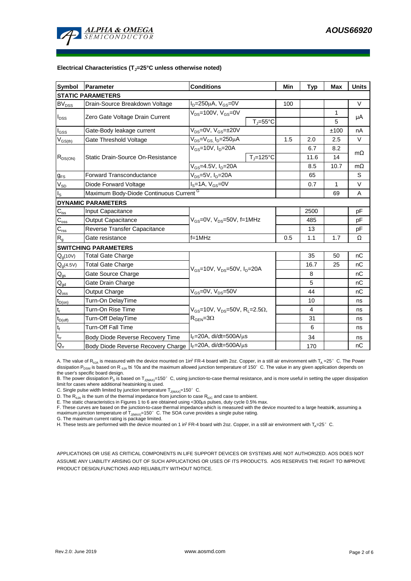

#### **Electrical Characteristics (TJ=25°C unless otherwise noted)**

| <b>Symbol</b>                          | <b>Parameter</b>                                                      | <b>Conditions</b>                                                                          |                              | Min | <b>Typ</b> | <b>Max</b>   | <b>Units</b> |  |  |
|----------------------------------------|-----------------------------------------------------------------------|--------------------------------------------------------------------------------------------|------------------------------|-----|------------|--------------|--------------|--|--|
| <b>STATIC PARAMETERS</b>               |                                                                       |                                                                                            |                              |     |            |              |              |  |  |
| $BV_{DSS}$                             | Drain-Source Breakdown Voltage                                        | $I_D = 250 \mu A$ , $V_{GS} = 0V$                                                          |                              | 100 |            |              | $\vee$       |  |  |
| $I_{DSS}$                              |                                                                       | $V_{DS}$ =100V, $V_{GS}$ =0V                                                               |                              |     |            | 1            |              |  |  |
|                                        | Zero Gate Voltage Drain Current                                       |                                                                                            | $T_{\text{J}} = 55^{\circ}C$ |     |            | 5            | μA           |  |  |
| $\mathsf{I}_{\mathsf{GSS}}$            | Gate-Body leakage current                                             | $V_{DS} = 0V$ , $V_{GS} = \pm 20V$                                                         |                              |     |            | ±100         | nA           |  |  |
| $V_{GS(th)}$                           | Gate Threshold Voltage                                                | $V_{DS} = V_{GS}$ , $I_D = 250 \mu A$                                                      |                              | 1.5 | 2.0        | 2.5          | V            |  |  |
|                                        |                                                                       | $V_{GS}$ =10V, $I_D$ =20A                                                                  |                              |     | 6.7        | 8.2          | $m\Omega$    |  |  |
| $R_{DS(ON)}$                           | Static Drain-Source On-Resistance                                     |                                                                                            | $T_J = 125$ °C               |     | 11.6       | 14           |              |  |  |
|                                        |                                                                       | $V_{GS} = 4.5V, I_D = 20A$                                                                 |                              |     | 8.5        | 10.7         | $m\Omega$    |  |  |
| $g_{FS}$                               | $V_{DS} = 5V$ , $I_D = 20A$<br><b>Forward Transconductance</b>        |                                                                                            |                              |     | 65         |              | S            |  |  |
| $V_{SD}$                               | Diode Forward Voltage                                                 | $\overline{I_{S}} = 1$ A, $V_{GS} = 0V$                                                    |                              |     | 0.7        | $\mathbf{1}$ | V            |  |  |
| Is                                     | Maximum Body-Diode Continuous Current <sup>G</sup>                    |                                                                                            |                              |     |            | 69           | Α            |  |  |
|                                        | <b>DYNAMIC PARAMETERS</b>                                             |                                                                                            |                              |     |            |              |              |  |  |
| $\mathbf{C}_{\text{iss}}$              | <b>Input Capacitance</b>                                              | $V_{GS}$ =0V, $V_{DS}$ =50V, f=1MHz                                                        |                              |     | 2500       |              | pF           |  |  |
| $C_{\rm oss}$                          | <b>Output Capacitance</b>                                             |                                                                                            |                              |     | 485        |              | рF           |  |  |
| $C_{rss}$                              | Reverse Transfer Capacitance                                          |                                                                                            |                              |     | 13         |              | рF           |  |  |
| R <sub>g</sub>                         | Gate resistance                                                       | $f=1$ MHz                                                                                  |                              | 0.5 | 1.1        | 1.7          | Ω            |  |  |
|                                        | <b>SWITCHING PARAMETERS</b>                                           |                                                                                            |                              |     |            |              |              |  |  |
| $Q_g(10V)$                             | <b>Total Gate Charge</b>                                              |                                                                                            |                              |     | 35         | 50           | nC           |  |  |
| $Q_q(4.5V)$                            | <b>Total Gate Charge</b>                                              | $V_{GS}$ =10V, $V_{DS}$ =50V, $I_{D}$ =20A                                                 |                              |     | 16.7       | 25           | nC           |  |  |
| $Q_{gs}$                               | Gate Source Charge                                                    |                                                                                            |                              |     | 8          |              | nC           |  |  |
| $\mathsf{Q}_{\underline{\mathsf{gd}}}$ | Gate Drain Charge                                                     |                                                                                            |                              |     | 5          |              | nC           |  |  |
| $\mathsf{Q}_\mathsf{oss}$              | Output Charge                                                         | $V_{GS}$ =0V, $V_{DS}$ =50V                                                                |                              |     | 44         |              | nC           |  |  |
| $t_{D(on)}$                            | Turn-On DelayTime                                                     |                                                                                            |                              |     | 10         |              | ns           |  |  |
| t,                                     | Turn-On Rise Time                                                     | $V_{GS}$ =10V, $V_{DS}$ =50V, R <sub>L</sub> =2.5 $\Omega$ ,<br>$R_{\text{GEN}} = 3\Omega$ |                              |     | 4          |              | ns           |  |  |
| $t_{D(off)}$                           | Turn-Off DelayTime                                                    |                                                                                            |                              |     | 31         |              | ns           |  |  |
| t <sub>f</sub>                         | <b>Turn-Off Fall Time</b>                                             |                                                                                            |                              |     | 6          |              | ns           |  |  |
| $\mathfrak{t}_{\text{rr}}$             | Body Diode Reverse Recovery Time                                      | $I_F = 20A$ , di/dt=500A/ $\mu$ s                                                          |                              |     | 34         |              | ns           |  |  |
| $Q_{rr}$                               | $I_F$ =20A, di/dt=500A/ $\mu$ s<br>Body Diode Reverse Recovery Charge |                                                                                            |                              | 170 |            | nC           |              |  |  |

A. The value of  $R_{0JA}$  is measured with the device mounted on 1in<sup>2</sup> FR-4 board with 2oz. Copper, in a still air environment with  $T_A = 25^\circ$  C. The Power dissipation P<sub>DSM</sub> is based on R  $_{0}$ A t≤ 10s and the maximum allowed junction temperature of 150°C. The value in any given application depends on the user's specific board design.

B. The power dissipation P<sub>D</sub> is based on T<sub>J(MAX)</sub>=150°C, using junction-to-case thermal resistance, and is more useful in setting the upper dissipation limit for cases where additional heatsinking is used.

C. Single pulse width limited by junction temperature  $T_{\text{J}(MAX)}$ =150°C.

D. The  $R_{0JA}$  is the sum of the thermal impedance from junction to case  $R_{0JC}$  and case to ambient.

E. The static characteristics in Figures 1 to 6 are obtained using <300us pulses, duty cycle 0.5% max.

F. These curves are based on the junction-to-case thermal impedance which is measured with the device mounted to a large heatsirk, assuming a<br>maximum junction temperature of T<sub>J(MAX)</sub>=150°C. The SOA curve provides a single

G. The maximum current rating is package limited.

H. These tests are performed with the device mounted on 1 in<sup>2</sup> FR-4 board with 2oz. Copper, in a still air environment with T<sub>A</sub>=25°C.

APPLICATIONS OR USE AS CRITICAL COMPONENTS IN LIFE SUPPORT DEVICES OR SYSTEMS ARE NOT AUTHORIZED. AOS DOES NOT ASSUME ANY LIABILITY ARISING OUT OF SUCH APPLICATIONS OR USES OF ITS PRODUCTS. AOS RESERVES THE RIGHT TO IMPROVE PRODUCT DESIGN,FUNCTIONS AND RELIABILITY WITHOUT NOTICE.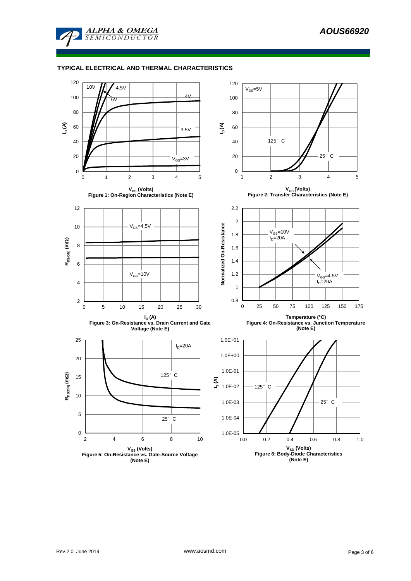

### **TYPICAL ELECTRICAL AND THERMAL CHARACTERISTICS**

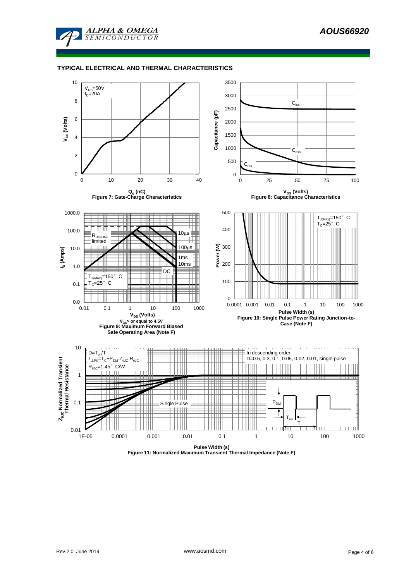

#### **TYPICAL ELECTRICAL AND THERMAL CHARACTERISTICS**

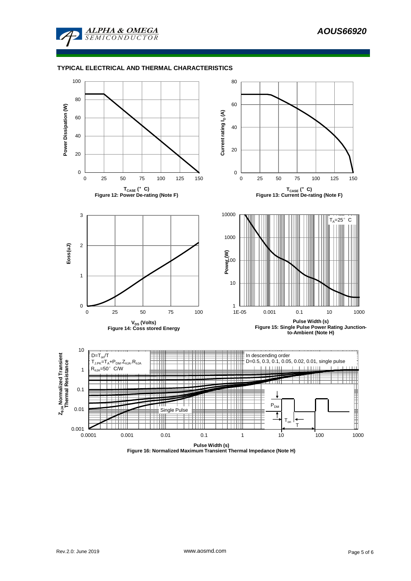

#### **TYPICAL ELECTRICAL AND THERMAL CHARACTERISTICS**



**Figure 16: Normalized Maximum Transient Thermal Impedance (Note H)**